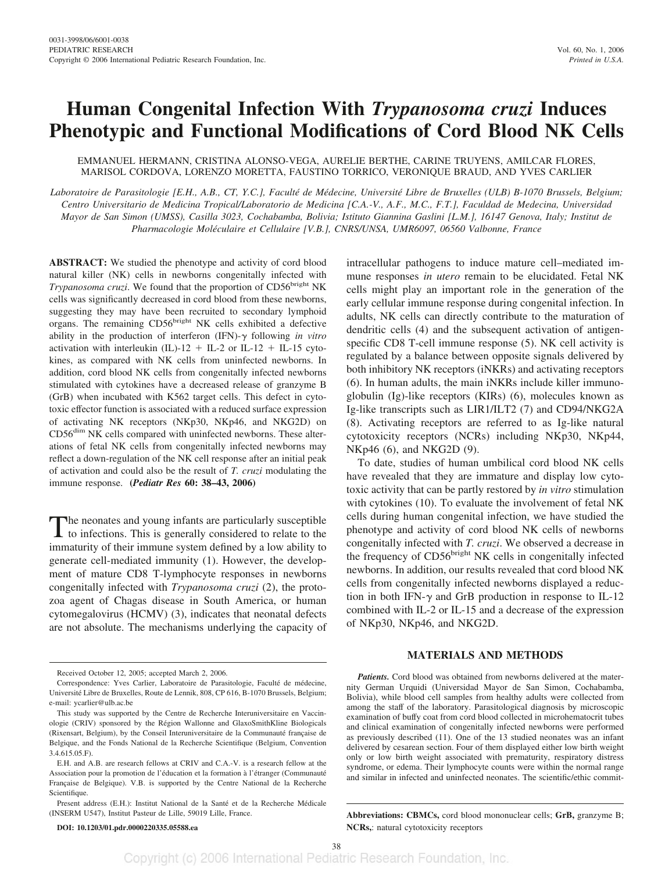# **Human Congenital Infection With** *Trypanosoma cruzi* **Induces Phenotypic and Functional Modifications of Cord Blood NK Cells**

EMMANUEL HERMANN, CRISTINA ALONSO-VEGA, AURELIE BERTHE, CARINE TRUYENS, AMILCAR FLORES, MARISOL CORDOVA, LORENZO MORETTA, FAUSTINO TORRICO, VERONIQUE BRAUD, AND YVES CARLIER

Laboratoire de Parasitologie [E.H., A.B., CT, Y.C.], Faculté de Médecine, Université Libre de Bruxelles (ULB) B-1070 Brussels, Belgium; *Centro Universitario de Medicina Tropical/Laboratorio de Medicina [C.A.-V., A.F., M.C., F.T.], Faculdad de Medecina, Universidad Mayor de San Simon (UMSS), Casilla 3023, Cochabamba, Bolivia; Istituto Giannina Gaslini [L.M.], 16147 Genova, Italy; Institut de Pharmacologie Mole´culaire et Cellulaire [V.B.], CNRS/UNSA, UMR6097, 06560 Valbonne, France*

**ABSTRACT:** We studied the phenotype and activity of cord blood natural killer (NK) cells in newborns congenitally infected with Trypanosoma cruzi. We found that the proportion of CD56bright NK cells was significantly decreased in cord blood from these newborns, suggesting they may have been recruited to secondary lymphoid organs. The remaining CD56<sup>bright</sup> NK cells exhibited a defective ability in the production of interferon (IFN)- $\gamma$  following *in vitro* activation with interleukin (IL)-12 + IL-2 or IL-12 + IL-15 cytokines, as compared with NK cells from uninfected newborns. In addition, cord blood NK cells from congenitally infected newborns stimulated with cytokines have a decreased release of granzyme B (GrB) when incubated with K562 target cells. This defect in cytotoxic effector function is associated with a reduced surface expression of activating NK receptors (NKp30, NKp46, and NKG2D) on CD56dim NK cells compared with uninfected newborns. These alterations of fetal NK cells from congenitally infected newborns may reflect a down-regulation of the NK cell response after an initial peak of activation and could also be the result of *T. cruzi* modulating the immune response. **(***Pediatr Res* **60: 38–43, 2006)**

The neonates and young infants are particularly susceptible to infections. This is generally considered to relate to the immaturity of their immune system defined by a low ability to generate cell-mediated immunity (1). However, the development of mature CD8 T-lymphocyte responses in newborns congenitally infected with *Trypanosoma cruzi* (2), the protozoa agent of Chagas disease in South America, or human cytomegalovirus (HCMV) (3), indicates that neonatal defects are not absolute. The mechanisms underlying the capacity of

Present address (E.H.): Institut National de la Santé et de la Recherche Médicale (INSERM U547), Institut Pasteur de Lille, 59019 Lille, France.

**DOI: 10.1203/01.pdr.0000220335.05588.ea**

intracellular pathogens to induce mature cell–mediated immune responses *in utero* remain to be elucidated. Fetal NK cells might play an important role in the generation of the early cellular immune response during congenital infection. In adults, NK cells can directly contribute to the maturation of dendritic cells (4) and the subsequent activation of antigenspecific CD8 T-cell immune response  $(5)$ . NK cell activity is regulated by a balance between opposite signals delivered by both inhibitory NK receptors (iNKRs) and activating receptors (6). In human adults, the main iNKRs include killer immunoglobulin (Ig)-like receptors (KIRs) (6), molecules known as Ig-like transcripts such as LIR1/ILT2 (7) and CD94/NKG2A (8). Activating receptors are referred to as Ig-like natural cytotoxicity receptors (NCRs) including NKp30, NKp44, NKp46 (6), and NKG2D (9).

To date, studies of human umbilical cord blood NK cells have revealed that they are immature and display low cytotoxic activity that can be partly restored by *in vitro* stimulation with cytokines (10). To evaluate the involvement of fetal NK cells during human congenital infection, we have studied the phenotype and activity of cord blood NK cells of newborns congenitally infected with *T. cruzi*. We observed a decrease in the frequency of CD56<sup>bright</sup> NK cells in congenitally infected newborns. In addition, our results revealed that cord blood NK cells from congenitally infected newborns displayed a reduction in both IFN- $\gamma$  and GrB production in response to IL-12 combined with IL-2 or IL-15 and a decrease of the expression of NKp30, NKp46, and NKG2D.

## **MATERIALS AND METHODS**

*Patients.* Cord blood was obtained from newborns delivered at the maternity German Urquidi (Universidad Mayor de San Simon, Cochabamba, Bolivia), while blood cell samples from healthy adults were collected from among the staff of the laboratory. Parasitological diagnosis by microscopic examination of buffy coat from cord blood collected in microhematocrit tubes and clinical examination of congenitally infected newborns were performed as previously described (11). One of the 13 studied neonates was an infant delivered by cesarean section. Four of them displayed either low birth weight only or low birth weight associated with prematurity, respiratory distress syndrome, or edema. Their lymphocyte counts were within the normal range and similar in infected and uninfected neonates. The scientific/ethic commit-

**Abbreviations: CBMCs,** cord blood mononuclear cells; **GrB,** granzyme B; **NCRs,**: natural cytotoxicity receptors

Received October 12, 2005; accepted March 2, 2006.

Correspondence: Yves Carlier, Laboratoire de Parasitologie, Faculté de médecine, Université Libre de Bruxelles, Route de Lennik, 808, CP 616, B-1070 Brussels, Belgium; e-mail: ycarlier@ulb.ac.be

This study was supported by the Centre de Recherche Interuniversitaire en Vaccinologie (CRIV) sponsored by the Région Wallonne and GlaxoSmithKline Biologicals (Rixensart, Belgium), by the Conseil Interuniversitaire de la Communauté francaise de Belgique, and the Fonds National de la Recherche Scientifique (Belgium, Convention 3.4.615.05.F).

E.H. and A.B. are research fellows at CRIV and C.A.-V. is a research fellow at the Association pour la promotion de l'éducation et la formation à l'étranger (Communauté Française de Belgique). V.B. is supported by the Centre National de la Recherche Scientifique.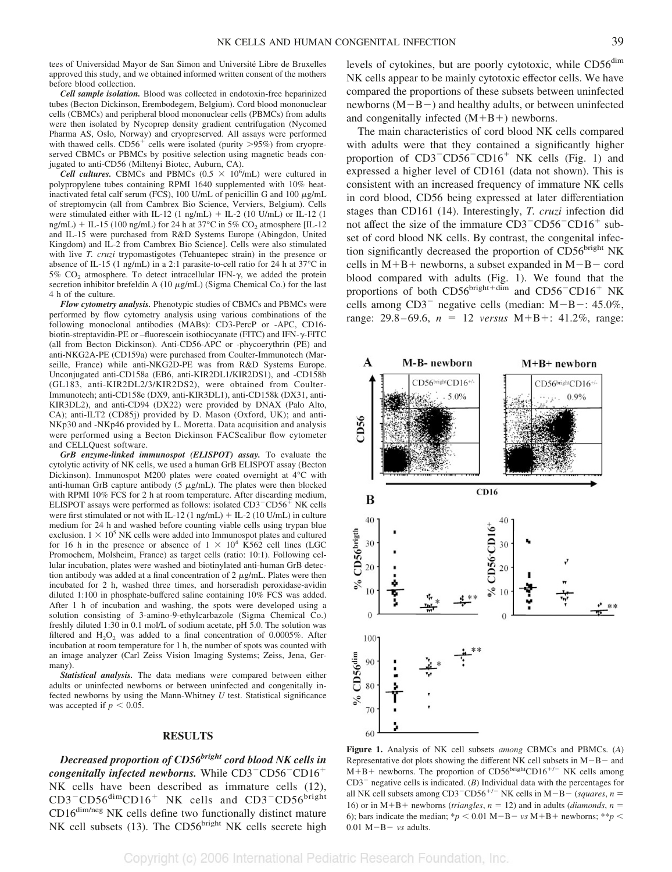tees of Universidad Mayor de San Simon and Université Libre de Bruxelles approved this study, and we obtained informed written consent of the mothers before blood collection.

*Cell sample isolation.* Blood was collected in endotoxin-free heparinized tubes (Becton Dickinson, Erembodegem, Belgium). Cord blood mononuclear cells (CBMCs) and peripheral blood mononuclear cells (PBMCs) from adults were then isolated by Nycoprep density gradient centrifugation (Nycomed Pharma AS, Oslo, Norway) and cryopreserved. All assays were performed with thawed cells.  $CD56^+$  cells were isolated (purity  $>95\%$ ) from cryopreserved CBMCs or PBMCs by positive selection using magnetic beads conjugated to anti-CD56 (Miltenyi Biotec, Auburn, CA).

*Cell cultures.* CBMCs and PBMCs  $(0.5 \times 10^6/\text{mL})$  were cultured in polypropylene tubes containing RPMI 1640 supplemented with 10% heatinactivated fetal calf serum (FCS), 100 U/mL of penicillin G and 100  $\mu$ g/mL of streptomycin (all from Cambrex Bio Science, Verviers, Belgium). Cells were stimulated either with IL-12 (1 ng/mL)  $+$  IL-2 (10 U/mL) or IL-12 (1 ng/mL) + IL-15 (100 ng/mL) for 24 h at 37°C in 5% CO<sub>2</sub> atmosphere [IL-12 and IL-15 were purchased from R&D Systems Europe (Abingdon, United Kingdom) and IL-2 from Cambrex Bio Science]. Cells were also stimulated with live *T. cruzi* trypomastigotes (Tehuantepec strain) in the presence or absence of IL-15 (1 ng/mL) in a 2:1 parasite-to-cell ratio for 24 h at 37°C in 5%  $CO<sub>2</sub>$  atmosphere. To detect intracellular IFN- $\gamma$ , we added the protein secretion inhibitor brefeldin A  $(10 \mu g/mL)$  (Sigma Chemical Co.) for the last 4 h of the culture.

*Flow cytometry analysis.* Phenotypic studies of CBMCs and PBMCs were performed by flow cytometry analysis using various combinations of the following monoclonal antibodies (MABs): CD3-PercP or -APC, CD16 biotin-streptavidin-PE or –fluorescein isothiocyanate (FITC) and IFN- $\gamma$ -FITC (all from Becton Dickinson). Anti-CD56-APC or -phycoerythrin (PE) and anti-NKG2A-PE (CD159a) were purchased from Coulter-Immunotech (Marseille, France) while anti-NKG2D-PE was from R&D Systems Europe. Unconjugated anti-CD158a (EB6, anti-KIR2DL1/KIR2DS1), and -CD158b (GL183, anti-KIR2DL2/3/KIR2DS2), were obtained from Coulter-Immunotech; anti-CD158e (DX9, anti-KIR3DL1), anti-CD158k (DX31, anti-KIR3DL2), and anti-CD94 (DX22) were provided by DNAX (Palo Alto, CA); anti-ILT2 (CD85j) provided by D. Mason (Oxford, UK); and anti-NKp30 and -NKp46 provided by L. Moretta. Data acquisition and analysis were performed using a Becton Dickinson FACScalibur flow cytometer and CELLQuest software.

*GrB enzyme-linked immunospot (ELISPOT) assay.* To evaluate the cytolytic activity of NK cells, we used a human GrB ELISPOT assay (Becton Dickinson). Immunospot M200 plates were coated overnight at 4°C with anti-human GrB capture antibody (5  $\mu$ g/mL). The plates were then blocked with RPMI 10% FCS for 2 h at room temperature. After discarding medium, ELISPOT assays were performed as follows: isolated  $CD3$ <sup>- $CD56$ <sup>+</sup> NK cells</sup> were first stimulated or not with IL-12 (1 ng/mL) + IL-2 (10 U/mL) in culture medium for 24 h and washed before counting viable cells using trypan blue exclusion.  $1 \times 10^5$  NK cells were added into Immunospot plates and cultured for 16 h in the presence or absence of  $1 \times 10^4$  K562 cell lines (LGC Promochem, Molsheim, France) as target cells (ratio: 10:1). Following cellular incubation, plates were washed and biotinylated anti-human GrB detection antibody was added at a final concentration of  $2 \mu g/mL$ . Plates were then incubated for 2 h, washed three times, and horseradish peroxidase-avidin diluted 1:100 in phosphate-buffered saline containing 10% FCS was added. After 1 h of incubation and washing, the spots were developed using a solution consisting of 3-amino-9-ethylcarbazole (Sigma Chemical Co.) freshly diluted 1:30 in 0.1 mol/L of sodium acetate, pH 5.0. The solution was filtered and  $H_2O_2$  was added to a final concentration of 0.0005%. After incubation at room temperature for 1 h, the number of spots was counted with an image analyzer (Carl Zeiss Vision Imaging Systems; Zeiss, Jena, Germany).

*Statistical analysis.* The data medians were compared between either adults or uninfected newborns or between uninfected and congenitally infected newborns by using the Mann-Whitney *U* test. Statistical significance was accepted if  $p < 0.05$ .

## **RESULTS**

*Decreased proportion of CD56bright cord blood NK cells in congenitally infected newborns.* While  $CD3\text{-}CD56\text{-}CD16\text{+}$ NK cells have been described as immature cells (12), CD3<sup>-</sup>CD56<sup>dim</sup>CD16<sup>+</sup> NK cells and CD3<sup>-</sup>CD56<sup>bright</sup> CD16dim/neg NK cells define two functionally distinct mature NK cell subsets (13). The CD56bright NK cells secrete high

levels of cytokines, but are poorly cytotoxic, while CD56<sup>dim</sup> NK cells appear to be mainly cytotoxic effector cells. We have compared the proportions of these subsets between uninfected newborns  $(M-B-)$  and healthy adults, or between uninfected and congenitally infected  $(M+B+)$  newborns.

The main characteristics of cord blood NK cells compared with adults were that they contained a significantly higher proportion of  $CD3$ <sup>-</sup> $CD56$ <sup>-</sup> $CD16$ <sup>+</sup> NK cells (Fig. 1) and expressed a higher level of CD161 (data not shown). This is consistent with an increased frequency of immature NK cells in cord blood, CD56 being expressed at later differentiation stages than CD161 (14). Interestingly, *T. cruzi* infection did not affect the size of the immature  $CD3$ <sup>- $CD56$ </sub>- $CD16$ <sup>+</sup> sub-</sup> set of cord blood NK cells. By contrast, the congenital infection significantly decreased the proportion of CD56bright NK cells in  $M+B+$  newborns, a subset expanded in  $M-B-$  cord blood compared with adults (Fig. 1). We found that the proportions of both  $CD56^{\text{bright+dim}}$  and  $CD56^{\text{-}}CD16^+$  NK cells among  $CD3^-$  negative cells (median:  $M-B-$ : 45.0%, range:  $29.8 - 69.6$ ,  $n = 12$  *versus* M+B+: 41.2%, range:



**Figure 1.** Analysis of NK cell subsets *among* CBMCs and PBMCs. (*A*) Representative dot plots showing the different NK cell subsets in  $M-B-$  and  $M+B+$  newborns. The proportion of CD56<sup>bright</sup>CD16<sup>+/-</sup> NK cells among  $CD3$ <sup>-</sup> negative cells is indicated. (*B*) Individual data with the percentages for all NK cell subsets among CD3<sup>-</sup>CD56<sup>+/-</sup> NK cells in M-B- (*squares*, *n* = 16) or in  $M+B+$  newborns (*triangles*,  $n = 12$ ) and in adults (*diamonds*,  $n =$ 6); bars indicate the median;  $* p < 0.01$  M-B- vs M+B+ newborns;  $* p <$  $0.01$  M $-B - vs$  adults.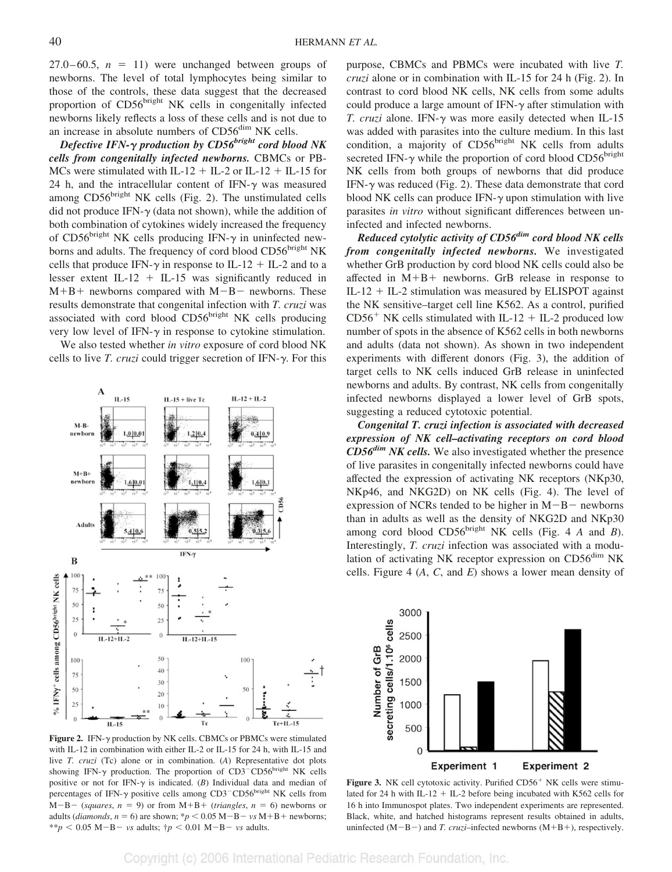$27.0 - 60.5$ ,  $n = 11$ ) were unchanged between groups of newborns. The level of total lymphocytes being similar to those of the controls, these data suggest that the decreased proportion of CD56<sup>bright</sup> NK cells in congenitally infected newborns likely reflects a loss of these cells and is not due to an increase in absolute numbers of CD56<sup>dim</sup> NK cells.

*Defective IFN-γ production by CD56<sup>bright</sup> cord blood NK cells from congenitally infected newborns.* CBMCs or PB-MCs were stimulated with IL-12 + IL-2 or IL-12 + IL-15 for 24 h, and the intracellular content of IFN- $\gamma$  was measured among  $CD56<sup>bright</sup> NK cells$  (Fig. 2). The unstimulated cells did not produce IFN- $\gamma$  (data not shown), while the addition of both combination of cytokines widely increased the frequency of CD56<sup>bright</sup> NK cells producing IFN- $\gamma$  in uninfected newborns and adults. The frequency of cord blood CD56bright NK cells that produce IFN- $\gamma$  in response to IL-12 + IL-2 and to a lesser extent IL-12  $+$  IL-15 was significantly reduced in  $M+B+$  newborns compared with  $M-B-$  newborns. These results demonstrate that congenital infection with *T. cruzi* was associated with cord blood CD56bright NK cells producing very low level of IFN- $\gamma$  in response to cytokine stimulation.

We also tested whether *in vitro* exposure of cord blood NK cells to live *T. cruzi* could trigger secretion of IFN- $\gamma$ . For this



Figure 2. IFN- $\gamma$  production by NK cells. CBMCs or PBMCs were stimulated with IL-12 in combination with either IL-2 or IL-15 for 24 h, with IL-15 and live *T. cruzi* (Tc) alone or in combination. (*A*) Representative dot plots showing IFN- $\gamma$  production. The proportion of CD3<sup>-</sup>CD56<sup>bright</sup> NK cells positive or not for IFN- $\gamma$  is indicated. (*B*) Individual data and median of percentages of IFN- $\gamma$  positive cells among CD3<sup>-</sup>CD56<sup>bright</sup> NK cells from  $M-B-$  (*squares*,  $n = 9$ ) or from  $M+B+$  (*triangles*,  $n = 6$ ) newborns or adults (*diamonds*,  $n = 6$ ) are shown; \* $p < 0.05$  M-B-  $vs$  M+B+ newborns;  $**p < 0.05 \text{ M}-\text{B}-\text{ vs } \text{ adults}; \; \dot{\tau}p < 0.01 \text{ M}-\text{B}-\text{ vs } \text{ adults}.$ 

purpose, CBMCs and PBMCs were incubated with live *T. cruzi* alone or in combination with IL-15 for 24 h (Fig. 2). In contrast to cord blood NK cells, NK cells from some adults could produce a large amount of IFN- $\gamma$  after stimulation with *T. cruzi* alone. IFN- $\gamma$  was more easily detected when IL-15 was added with parasites into the culture medium. In this last condition, a majority of CD56bright NK cells from adults secreted IFN- $\gamma$  while the proportion of cord blood CD56<sup>bright</sup> NK cells from both groups of newborns that did produce IFN- $\gamma$  was reduced (Fig. 2). These data demonstrate that cord blood NK cells can produce IFN- $\gamma$  upon stimulation with live parasites *in vitro* without significant differences between uninfected and infected newborns.

*Reduced cytolytic activity of CD56dim cord blood NK cells from congenitally infected newborns.* We investigated whether GrB production by cord blood NK cells could also be affected in  $M+B+$  newborns. GrB release in response to  $IL-12 + IL-2$  stimulation was measured by ELISPOT against the NK sensitive–target cell line K562. As a control, purified  $CD56<sup>+</sup>$  NK cells stimulated with IL-12 + IL-2 produced low number of spots in the absence of K562 cells in both newborns and adults (data not shown). As shown in two independent experiments with different donors (Fig. 3), the addition of target cells to NK cells induced GrB release in uninfected newborns and adults. By contrast, NK cells from congenitally infected newborns displayed a lower level of GrB spots, suggesting a reduced cytotoxic potential.

*Congenital T. cruzi infection is associated with decreased expression of NK cell–activating receptors on cord blood CD56dim NK cells.* We also investigated whether the presence of live parasites in congenitally infected newborns could have affected the expression of activating NK receptors (NKp30, NKp46, and NKG2D) on NK cells (Fig. 4). The level of expression of NCRs tended to be higher in  $M-B$  newborns than in adults as well as the density of NKG2D and NKp30 among cord blood  $CD56<sup>bright</sup> NK$  cells (Fig. 4 *A* and *B*). Interestingly, *T. cruzi* infection was associated with a modulation of activating NK receptor expression on CD56<sup>dim</sup> NK cells. Figure 4 (*A*, *C*, and *E*) shows a lower mean density of



Figure 3. NK cell cytotoxic activity. Purified CD56<sup>+</sup> NK cells were stimulated for 24 h with IL-12 + IL-2 before being incubated with K562 cells for 16 h into Immunospot plates. Two independent experiments are represented. Black, white, and hatched histograms represent results obtained in adults, uninfected  $(M-B-)$  and *T. cruzi*–infected newborns  $(M+B+)$ , respectively.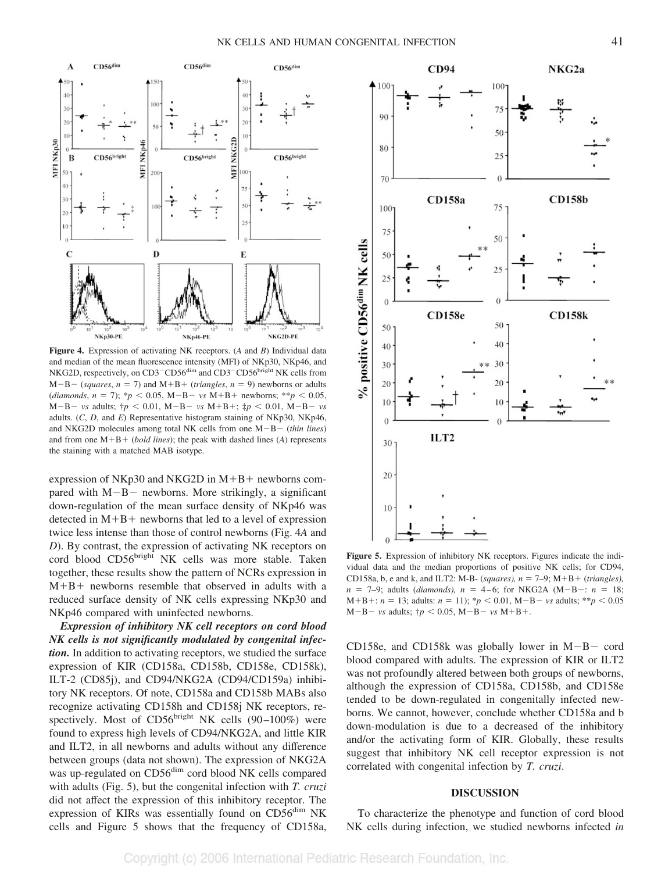

**Figure 4.** Expression of activating NK receptors. (*A* and *B*) Individual data and median of the mean fluorescence intensity (MFI) of NKp30, NKp46, and NKG2D, respectively, on CD3<sup>-</sup>CD56<sup>dim</sup> and CD3<sup>-</sup>CD56<sup>bright</sup> NK cells from  $M-B - (squares, n = 7)$  and  $M+B + (triangles, n = 9)$  newborns or adults  $(diamond, n = 7); *p < 0.05, M-B- vs M+B+ newbons; **p < 0.05,$  $M-B - vs$  adults;  $\dagger p < 0.01$ ,  $M-B - vs$   $M+B +$ ;  $\dagger p < 0.01$ ,  $M-B - vs$ adults. (*C*, *D*, and *E*) Representative histogram staining of NKp30, NKp46, and NKG2D molecules among total NK cells from one  $M-B - (thin lines)$ and from one  $M + B + (bold lines)$ ; the peak with dashed lines (A) represents the staining with a matched MAB isotype.

expression of NKp30 and NKG2D in  $M+B$  + newborns compared with  $M-B$  newborns. More strikingly, a significant down-regulation of the mean surface density of NKp46 was detected in  $M+B+$  newborns that led to a level of expression twice less intense than those of control newborns (Fig. 4*A* and *D*). By contrast, the expression of activating NK receptors on cord blood CD56bright NK cells was more stable. Taken together, these results show the pattern of NCRs expression in  $M+B+$  newborns resemble that observed in adults with a reduced surface density of NK cells expressing NKp30 and NKp46 compared with uninfected newborns.

*Expression of inhibitory NK cell receptors on cord blood NK cells is not significantly modulated by congenital infection.* In addition to activating receptors, we studied the surface expression of KIR (CD158a, CD158b, CD158e, CD158k), ILT-2 (CD85j), and CD94/NKG2A (CD94/CD159a) inhibitory NK receptors. Of note, CD158a and CD158b MABs also recognize activating CD158h and CD158j NK receptors, respectively. Most of  $CD56<sup>bright</sup> NK cells (90–100%) were$ found to express high levels of CD94/NKG2A, and little KIR and ILT2, in all newborns and adults without any difference between groups (data not shown). The expression of NKG2A was up-regulated on CD56<sup>dim</sup> cord blood NK cells compared with adults (Fig. 5), but the congenital infection with *T. cruzi* did not affect the expression of this inhibitory receptor. The expression of KIRs was essentially found on CD56<sup>dim</sup> NK cells and Figure 5 shows that the frequency of CD158a,



**Figure 5.** Expression of inhibitory NK receptors. Figures indicate the individual data and the median proportions of positive NK cells; for CD94, CD158a, b, e and k, and ILT2: M-B- (*squares*),  $n = 7-9$ ; M+B+ (*triangles*),  $n = 7-9$ ; adults (*diamonds*),  $n = 4-6$ ; for NKG2A (M-B-:  $n = 18$ ;  $M+B+: n = 13$ ; adults:  $n = 11$ ); \* $p < 0.01$ ,  $M-B-$  *vs* adults; \*\* $p < 0.05$  $M-B - vs$  adults;  $\dagger p < 0.05$ ,  $M-B - vs$   $M+B+.$ 

CD158e, and CD158k was globally lower in  $M-B-$  cord blood compared with adults. The expression of KIR or ILT2 was not profoundly altered between both groups of newborns, although the expression of CD158a, CD158b, and CD158e tended to be down-regulated in congenitally infected newborns. We cannot, however, conclude whether CD158a and b down-modulation is due to a decreased of the inhibitory and/or the activating form of KIR. Globally, these results suggest that inhibitory NK cell receptor expression is not correlated with congenital infection by *T. cruzi*.

#### **DISCUSSION**

To characterize the phenotype and function of cord blood NK cells during infection, we studied newborns infected *in*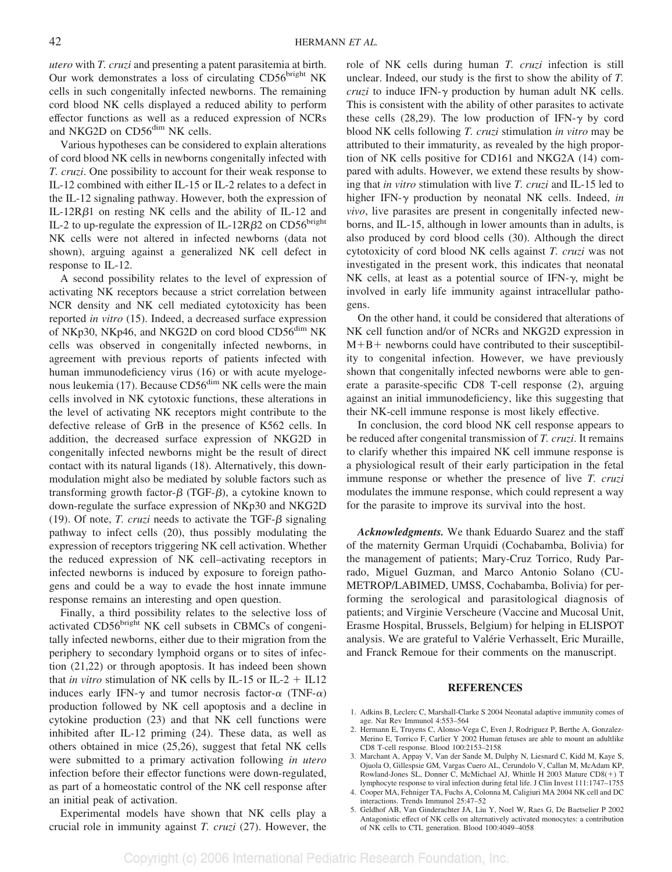*utero* with *T. cruzi* and presenting a patent parasitemia at birth. Our work demonstrates a loss of circulating CD56bright NK cells in such congenitally infected newborns. The remaining cord blood NK cells displayed a reduced ability to perform effector functions as well as a reduced expression of NCRs and NKG2D on CD56<sup>dim</sup> NK cells.

Various hypotheses can be considered to explain alterations of cord blood NK cells in newborns congenitally infected with *T. cruzi*. One possibility to account for their weak response to IL-12 combined with either IL-15 or IL-2 relates to a defect in the IL-12 signaling pathway. However, both the expression of IL-12R $\beta$ 1 on resting NK cells and the ability of IL-12 and IL-2 to up-regulate the expression of IL-12R $\beta$ 2 on CD56<sup>bright</sup> NK cells were not altered in infected newborns (data not shown), arguing against a generalized NK cell defect in response to IL-12.

A second possibility relates to the level of expression of activating NK receptors because a strict correlation between NCR density and NK cell mediated cytotoxicity has been reported *in vitro* (15). Indeed, a decreased surface expression of NKp30, NKp46, and NKG2D on cord blood CD56<sup>dim</sup> NK cells was observed in congenitally infected newborns, in agreement with previous reports of patients infected with human immunodeficiency virus (16) or with acute myelogenous leukemia (17). Because  $CD56<sup>dim</sup> NK$  cells were the main cells involved in NK cytotoxic functions, these alterations in the level of activating NK receptors might contribute to the defective release of GrB in the presence of K562 cells. In addition, the decreased surface expression of NKG2D in congenitally infected newborns might be the result of direct contact with its natural ligands (18). Alternatively, this downmodulation might also be mediated by soluble factors such as transforming growth factor- $\beta$  (TGF- $\beta$ ), a cytokine known to down-regulate the surface expression of NKp30 and NKG2D (19). Of note, *T. cruzi* needs to activate the TGF- $\beta$  signaling pathway to infect cells (20), thus possibly modulating the expression of receptors triggering NK cell activation. Whether the reduced expression of NK cell–activating receptors in infected newborns is induced by exposure to foreign pathogens and could be a way to evade the host innate immune response remains an interesting and open question.

Finally, a third possibility relates to the selective loss of activated CD56bright NK cell subsets in CBMCs of congenitally infected newborns, either due to their migration from the periphery to secondary lymphoid organs or to sites of infection (21,22) or through apoptosis. It has indeed been shown that *in vitro* stimulation of NK cells by IL-15 or IL-2  $+$  IL12 induces early IFN- $\gamma$  and tumor necrosis factor- $\alpha$  (TNF- $\alpha$ ) production followed by NK cell apoptosis and a decline in cytokine production (23) and that NK cell functions were inhibited after IL-12 priming (24). These data, as well as others obtained in mice (25,26), suggest that fetal NK cells were submitted to a primary activation following *in utero* infection before their effector functions were down-regulated, as part of a homeostatic control of the NK cell response after an initial peak of activation.

Experimental models have shown that NK cells play a crucial role in immunity against *T. cruzi* (27). However, the role of NK cells during human *T. cruzi* infection is still unclear. Indeed, our study is the first to show the ability of *T. cruzi* to induce IFN- $\gamma$  production by human adult NK cells. This is consistent with the ability of other parasites to activate these cells (28,29). The low production of IFN- $\gamma$  by cord blood NK cells following *T. cruzi* stimulation *in vitro* may be attributed to their immaturity, as revealed by the high proportion of NK cells positive for CD161 and NKG2A (14) compared with adults. However, we extend these results by showing that *in vitro* stimulation with live *T. cruzi* and IL-15 led to higher IFN- $\gamma$  production by neonatal NK cells. Indeed, *in vivo*, live parasites are present in congenitally infected newborns, and IL-15, although in lower amounts than in adults, is also produced by cord blood cells (30). Although the direct cytotoxicity of cord blood NK cells against *T. cruzi* was not investigated in the present work, this indicates that neonatal NK cells, at least as a potential source of IFN- $\gamma$ , might be involved in early life immunity against intracellular pathogens.

On the other hand, it could be considered that alterations of NK cell function and/or of NCRs and NKG2D expression in  $M+B+$  newborns could have contributed to their susceptibility to congenital infection. However, we have previously shown that congenitally infected newborns were able to generate a parasite-specific CD8 T-cell response (2), arguing against an initial immunodeficiency, like this suggesting that their NK-cell immune response is most likely effective.

In conclusion, the cord blood NK cell response appears to be reduced after congenital transmission of *T. cruzi*. It remains to clarify whether this impaired NK cell immune response is a physiological result of their early participation in the fetal immune response or whether the presence of live *T. cruzi* modulates the immune response, which could represent a way for the parasite to improve its survival into the host.

*Acknowledgments.* We thank Eduardo Suarez and the staff of the maternity German Urquidi (Cochabamba, Bolivia) for the management of patients; Mary-Cruz Torrico, Rudy Parrado, Miguel Guzman, and Marco Antonio Solano (CU-METROP/LABIMED, UMSS, Cochabamba, Bolivia) for performing the serological and parasitological diagnosis of patients; and Virginie Verscheure (Vaccine and Mucosal Unit, Erasme Hospital, Brussels, Belgium) for helping in ELISPOT analysis. We are grateful to Valérie Verhasselt, Eric Muraille, and Franck Remoue for their comments on the manuscript.

#### **REFERENCES**

- 1. Adkins B, Leclerc C, Marshall-Clarke S 2004 Neonatal adaptive immunity comes of age. Nat Rev Immunol 4:553–564
- 2. Hermann E, Truyens C, Alonso-Vega C, Even J, Rodriguez P, Berthe A, Gonzalez-Merino E, Torrico F, Carlier Y 2002 Human fetuses are able to mount an adultlike CD8 T-cell response. Blood 100:2153–2158
- 3. Marchant A, Appay V, Van der Sande M, Dulphy N, Liesnard C, Kidd M, Kaye S, Ojuola O, Gillespsie GM, Vargas Cuero AL, Cerundolo V, Callan M, McAdam KP, Rowland-Jones SL, Donner C, McMichael AJ, Whittle H 2003 Mature CD8(+) T lymphocyte response to viral infection during fetal life. J Clin Invest 111:1747–1755
- 4. Cooper MA, Fehniger TA, Fuchs A, Colonna M, Caligiuri MA 2004 NK cell and DC interactions. Trends Immunol 25:47–52
- 5. Geldhof AB, Van Ginderachter JA, Liu Y, Noel W, Raes G, De Baetselier P 2002 Antagonistic effect of NK cells on alternatively activated monocytes: a contribution of NK cells to CTL generation. Blood 100:4049–4058